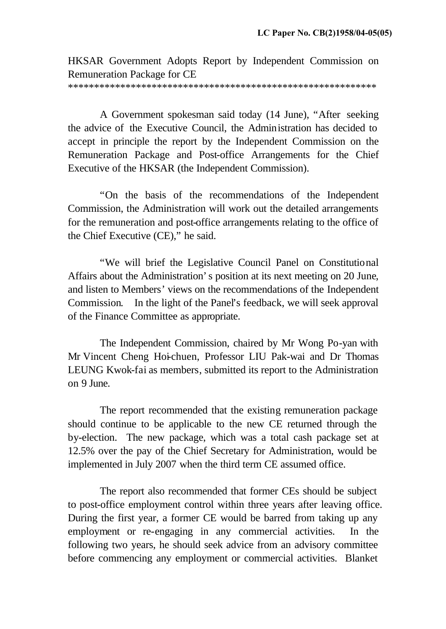HKSAR Government Adopts Report by Independent Commission on Remuneration Package for CE

\*\*\*\*\*\*\*\*\*\*\*\*\*\*\*\*\*\*\*\*\*\*\*\*\*\*\*\*\*\*\*\*\*\*\*\*\*\*\*\*\*\*\*\*\*\*\*\*\*\*\*\*\*\*\*\*\*\*\*

A Government spokesman said today (14 June), "After seeking the advice of the Executive Council, the Administration has decided to accept in principle the report by the Independent Commission on the Remuneration Package and Post-office Arrangements for the Chief Executive of the HKSAR (the Independent Commission).

"On the basis of the recommendations of the Independent Commission, the Administration will work out the detailed arrangements for the remuneration and post-office arrangements relating to the office of the Chief Executive (CE)," he said.

"We will brief the Legislative Council Panel on Constitutional Affairs about the Administration's position at its next meeting on 20 June, and listen to Members' views on the recommendations of the Independent Commission. In the light of the Panel's feedback, we will seek approval of the Finance Committee as appropriate.

The Independent Commission, chaired by Mr Wong Po-yan with Mr Vincent Cheng Hoi-chuen, Professor LIU Pak-wai and Dr Thomas LEUNG Kwok-fai as members, submitted its report to the Administration on 9 June.

The report recommended that the existing remuneration package should continue to be applicable to the new CE returned through the by-election. The new package, which was a total cash package set at 12.5% over the pay of the Chief Secretary for Administration, would be implemented in July 2007 when the third term CE assumed office.

The report also recommended that former CEs should be subject to post-office employment control within three years after leaving office. During the first year, a former CE would be barred from taking up any employment or re-engaging in any commercial activities. In the following two years, he should seek advice from an advisory committee before commencing any employment or commercial activities. Blanket